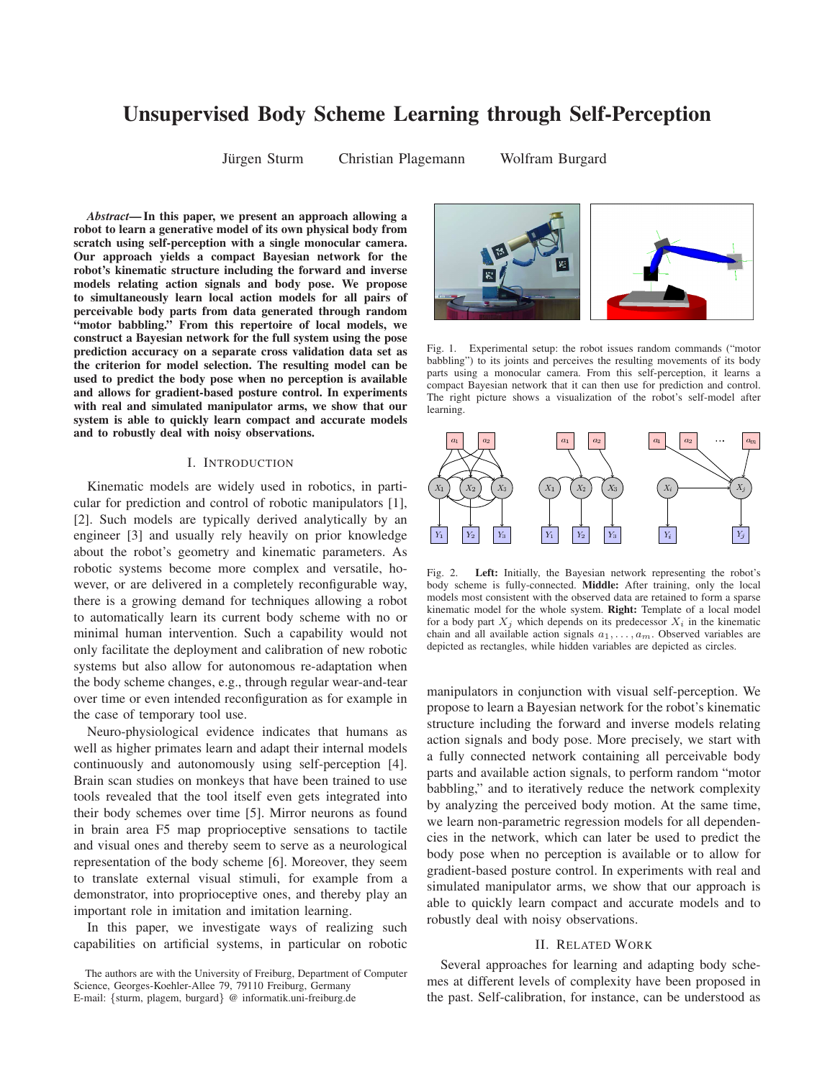# **Unsupervised Body Scheme Learning through Self-Perception**

Jurgen Sturm Christian Plagemann Wolfram Burgard ¨

*Abstract***— In this paper, we present an approach allowing a robot to learn a generative model of its own physical body from scratch using self-perception with a single monocular camera. Our approach yields a compact Bayesian network for the robot's kinematic structure including the forward and inverse models relating action signals and body pose. We propose to simultaneously learn local action models for all pairs of perceivable body parts from data generated through random "motor babbling." From this repertoire of local models, we construct a Bayesian network for the full system using the pose prediction accuracy on a separate cross validation data set as the criterion for model selection. The resulting model can be used to predict the body pose when no perception is available and allows for gradient-based posture control. In experiments with real and simulated manipulator arms, we show that our system is able to quickly learn compact and accurate models and to robustly deal with noisy observations.**

## I. INTRODUCTION

Kinematic models are widely used in robotics, in particular for prediction and control of robotic manipulators [1], [2]. Such models are typically derived analytically by an engineer [3] and usually rely heavily on prior knowledge about the robot's geometry and kinematic parameters. As robotic systems become more complex and versatile, however, or are delivered in a completely reconfigurable way, there is a growing demand for techniques allowing a robot to automatically learn its current body scheme with no or minimal human intervention. Such a capability would not only facilitate the deployment and calibration of new robotic systems but also allow for autonomous re-adaptation when the body scheme changes, e.g., through regular wear-and-tear over time or even intended reconfiguration as for example in the case of temporary tool use.

Neuro-physiological evidence indicates that humans as well as higher primates learn and adapt their internal models continuously and autonomously using self-perception [4]. Brain scan studies on monkeys that have been trained to use tools revealed that the tool itself even gets integrated into their body schemes over time [5]. Mirror neurons as found in brain area F5 map proprioceptive sensations to tactile and visual ones and thereby seem to serve as a neurological representation of the body scheme [6]. Moreover, they seem to translate external visual stimuli, for example from a demonstrator, into proprioceptive ones, and thereby play an important role in imitation and imitation learning.

In this paper, we investigate ways of realizing such capabilities on artificial systems, in particular on robotic



Fig. 1. Experimental setup: the robot issues random commands ("motor babbling") to its joints and perceives the resulting movements of its body parts using a monocular camera. From this self-perception, it learns a compact Bayesian network that it can then use for prediction and control. The right picture shows a visualization of the robot's self-model after learning.



Fig. 2. **Left:** Initially, the Bayesian network representing the robot's body scheme is fully-connected. **Middle:** After training, only the local models most consistent with the observed data are retained to form a sparse kinematic model for the whole system. **Right:** Template of a local model for a body part  $X_i$  which depends on its predecessor  $X_i$  in the kinematic chain and all available action signals  $a_1, \ldots, a_m$ . Observed variables are depicted as rectangles, while hidden variables are depicted as circles.

manipulators in conjunction with visual self-perception. We propose to learn a Bayesian network for the robot's kinematic structure including the forward and inverse models relating action signals and body pose. More precisely, we start with a fully connected network containing all perceivable body parts and available action signals, to perform random "motor babbling," and to iteratively reduce the network complexity by analyzing the perceived body motion. At the same time, we learn non-parametric regression models for all dependencies in the network, which can later be used to predict the body pose when no perception is available or to allow for gradient-based posture control. In experiments with real and simulated manipulator arms, we show that our approach is able to quickly learn compact and accurate models and to robustly deal with noisy observations.

## II. RELATED WORK

Several approaches for learning and adapting body schemes at different levels of complexity have been proposed in the past. Self-calibration, for instance, can be understood as

The authors are with the University of Freiburg, Department of Computer Science, Georges-Koehler-Allee 79, 79110 Freiburg, Germany E-mail: {sturm, plagem, burgard} @ informatik.uni-freiburg.de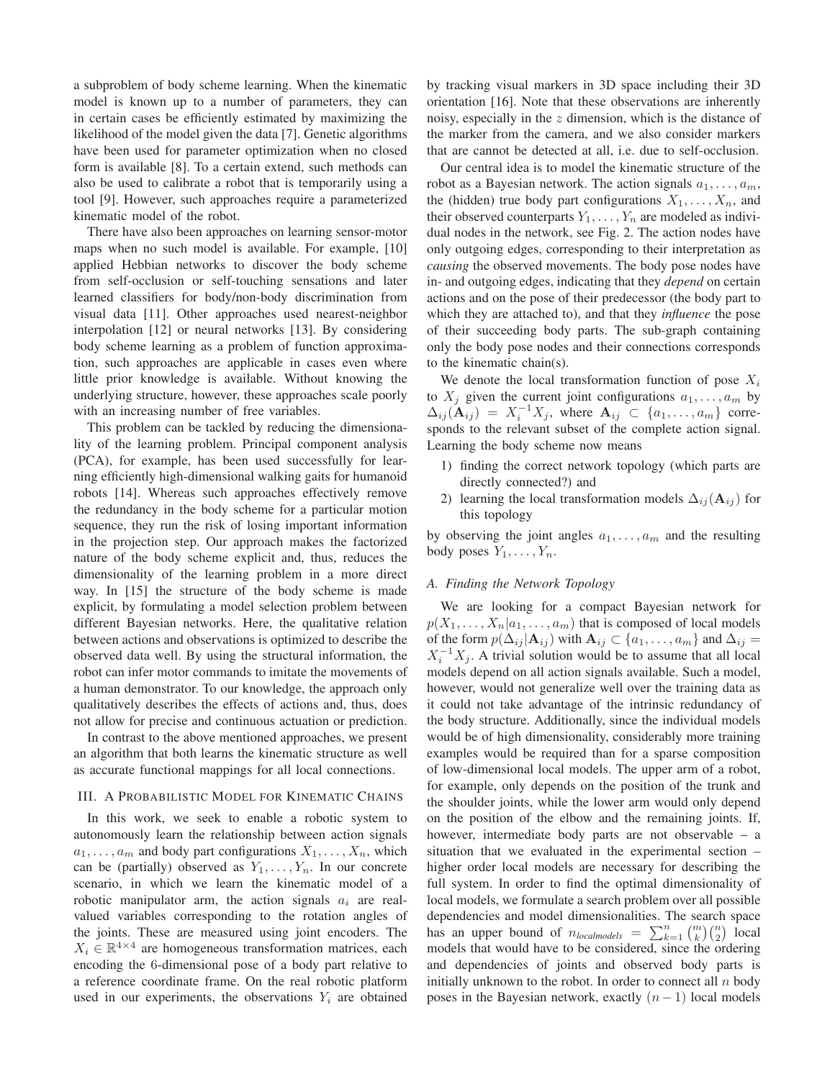a subproblem of body scheme learning. When the kinematic model is known up to a number of parameters, they can in certain cases be efficiently estimated by maximizing the likelihood of the model given the data [7]. Genetic algorithms have been used for parameter optimization when no closed form is available [8]. To a certain extend, such methods can also be used to calibrate a robot that is temporarily using a tool [9]. However, such approaches require a parameterized kinematic model of the robot.

There have also been approaches on learning sensor-motor maps when no such model is available. For example, [10] applied Hebbian networks to discover the body scheme from self-occlusion or self-touching sensations and later learned classifiers for body/non-body discrimination from visual data [11]. Other approaches used nearest-neighbor interpolation [12] or neural networks [13]. By considering body scheme learning as a problem of function approximation, such approaches are applicable in cases even where little prior knowledge is available. Without knowing the underlying structure, however, these approaches scale poorly with an increasing number of free variables.

This problem can be tackled by reducing the dimensionality of the learning problem. Principal component analysis (PCA), for example, has been used successfully for learning efficiently high-dimensional walking gaits for humanoid robots [14]. Whereas such approaches effectively remove the redundancy in the body scheme for a particular motion sequence, they run the risk of losing important information in the projection step. Our approach makes the factorized nature of the body scheme explicit and, thus, reduces the dimensionality of the learning problem in a more direct way. In [15] the structure of the body scheme is made explicit, by formulating a model selection problem between different Bayesian networks. Here, the qualitative relation between actions and observations is optimized to describe the observed data well. By using the structural information, the robot can infer motor commands to imitate the movements of a human demonstrator. To our knowledge, the approach only qualitatively describes the effects of actions and, thus, does not allow for precise and continuous actuation or prediction.

In contrast to the above mentioned approaches, we present an algorithm that both learns the kinematic structure as well as accurate functional mappings for all local connections.

# III. A PROBABILISTIC MODEL FOR KINEMATIC CHAINS

In this work, we seek to enable a robotic system to autonomously learn the relationship between action signals  $a_1, \ldots, a_m$  and body part configurations  $X_1, \ldots, X_n$ , which can be (partially) observed as  $Y_1, \ldots, Y_n$ . In our concrete scenario, in which we learn the kinematic model of a robotic manipulator arm, the action signals  $a_i$  are realvalued variables corresponding to the rotation angles of the joints. These are measured using joint encoders. The  $X_i \in \mathbb{R}^{4 \times 4}$  are homogeneous transformation matrices, each encoding the 6-dimensional pose of a body part relative to a reference coordinate frame. On the real robotic platform used in our experiments, the observations  $Y_i$  are obtained by tracking visual markers in 3D space including their 3D orientation [16]. Note that these observations are inherently noisy, especially in the z dimension, which is the distance of the marker from the camera, and we also consider markers that are cannot be detected at all, i.e. due to self-occlusion.

Our central idea is to model the kinematic structure of the robot as a Bayesian network. The action signals  $a_1, \ldots, a_m$ , the (hidden) true body part configurations  $X_1, \ldots, X_n$ , and their observed counterparts  $Y_1, \ldots, Y_n$  are modeled as individual nodes in the network, see Fig. 2. The action nodes have only outgoing edges, corresponding to their interpretation as *causing* the observed movements. The body pose nodes have in- and outgoing edges, indicating that they *depend* on certain actions and on the pose of their predecessor (the body part to which they are attached to), and that they *influence* the pose of their succeeding body parts. The sub-graph containing only the body pose nodes and their connections corresponds to the kinematic chain(s).

We denote the local transformation function of pose  $X_i$ to  $X_i$  given the current joint configurations  $a_1, \ldots, a_m$  by  $\Delta_{ij}(\mathbf{A}_{ij}) = X_i^{-1} X_j$ , where  $\mathbf{A}_{ij} \subset \{a_1, \ldots, a_m\}$  corresponds to the relevant subset of the complete action signal. Learning the body scheme now means

- 1) finding the correct network topology (which parts are directly connected?) and
- 2) learning the local transformation models  $\Delta_{ij}(\mathbf{A}_{ij})$  for this topology

by observing the joint angles  $a_1, \ldots, a_m$  and the resulting body poses  $Y_1, \ldots, Y_n$ .

# *A. Finding the Network Topology*

We are looking for a compact Bayesian network for  $p(X_1, \ldots, X_n | a_1, \ldots, a_m)$  that is composed of local models of the form  $p(\Delta_{ij} | \mathbf{A}_{ij})$  with  $\mathbf{A}_{ij} \subset \{a_1, \ldots, a_m\}$  and  $\Delta_{ij} =$  $X_i^{-1}X_j$ . A trivial solution would be to assume that all local models depend on all action signals available. Such a model, however, would not generalize well over the training data as it could not take advantage of the intrinsic redundancy of the body structure. Additionally, since the individual models would be of high dimensionality, considerably more training examples would be required than for a sparse composition of low-dimensional local models. The upper arm of a robot, for example, only depends on the position of the trunk and the shoulder joints, while the lower arm would only depend on the position of the elbow and the remaining joints. If, however, intermediate body parts are not observable – a situation that we evaluated in the experimental section – higher order local models are necessary for describing the full system. In order to find the optimal dimensionality of local models, we formulate a search problem over all possible dependencies and model dimensionalities. The search space has an upper bound of  $n_{\text{localmost}} = \sum_{k=1}^{n} {m \choose k} {n \choose 2}$  local models that would have to be considered, since the ordering and dependencies of joints and observed body parts is initially unknown to the robot. In order to connect all  $n$  body poses in the Bayesian network, exactly  $(n-1)$  local models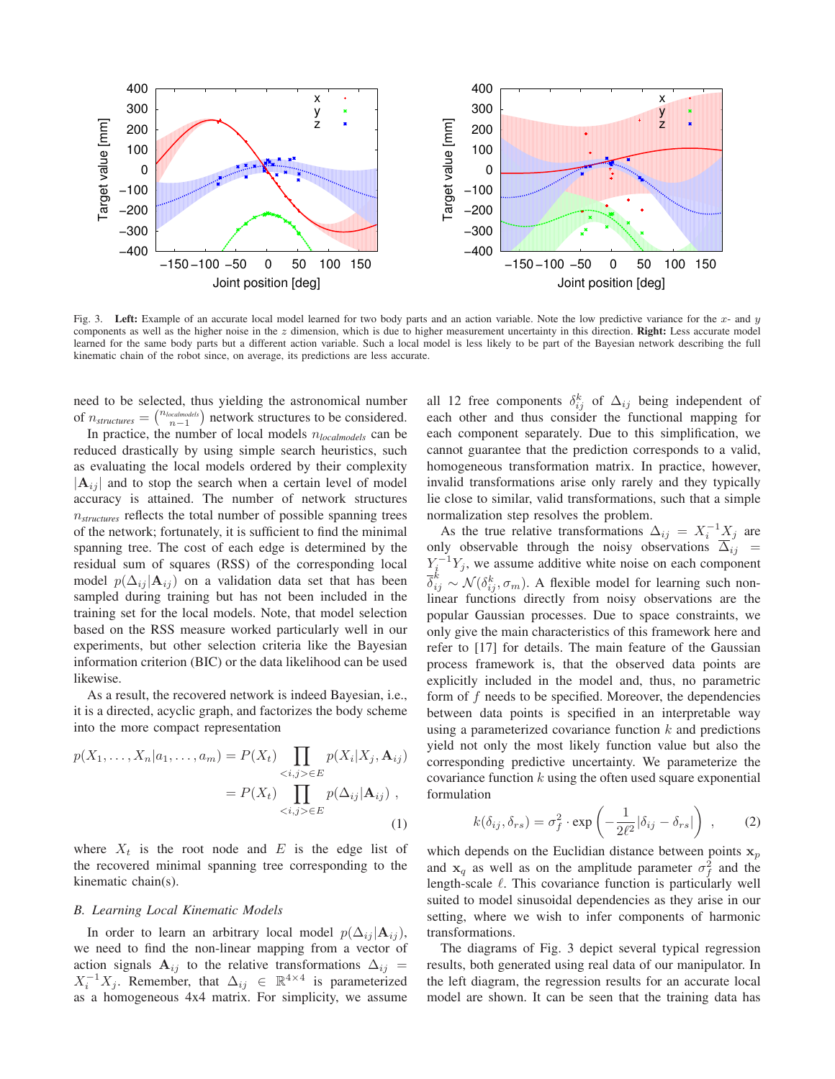

Fig. 3. Left: Example of an accurate local model learned for two body parts and an action variable. Note the low predictive variance for the x- and y components as well as the higher noise in the z dimension, which is due to higher measurement uncertainty in this direction. **Right:** Less accurate model learned for the same body parts but a different action variable. Such a local model is less likely to be part of the Bayesian network describing the full kinematic chain of the robot since, on average, its predictions are less accurate.

need to be selected, thus yielding the astronomical number of  $n_{structures} = \binom{n_{localmodels}}{n-1}$  network structures to be considered.

In practice, the number of local models n*localmodels* can be reduced drastically by using simple search heuristics, such as evaluating the local models ordered by their complexity  $|A_{ij}|$  and to stop the search when a certain level of model accuracy is attained. The number of network structures n*structures* reflects the total number of possible spanning trees of the network; fortunately, it is sufficient to find the minimal spanning tree. The cost of each edge is determined by the residual sum of squares (RSS) of the corresponding local model  $p(\Delta_{ij} | A_{ij})$  on a validation data set that has been sampled during training but has not been included in the training set for the local models. Note, that model selection based on the RSS measure worked particularly well in our experiments, but other selection criteria like the Bayesian information criterion (BIC) or the data likelihood can be used likewise.

As a result, the recovered network is indeed Bayesian, i.e., it is a directed, acyclic graph, and factorizes the body scheme into the more compact representation

$$
p(X_1, \ldots, X_n | a_1, \ldots, a_m) = P(X_t) \prod_{\substack{i,j \geq E \\ i,j \geq E}} p(X_i | X_j, \mathbf{A}_{ij})
$$

$$
= P(X_t) \prod_{\substack{i,j \geq E \\ i,j \geq E}} p(\Delta_{ij} | \mathbf{A}_{ij}), \qquad (1)
$$

where  $X_t$  is the root node and E is the edge list of the recovered minimal spanning tree corresponding to the kinematic chain(s).

# *B. Learning Local Kinematic Models*

In order to learn an arbitrary local model  $p(\Delta_{ij} | \mathbf{A}_{ij})$ , we need to find the non-linear mapping from a vector of action signals  $A_{ij}$  to the relative transformations  $\Delta_{ij}$  =  $X_i^{-1}X_j$ . Remember, that  $\Delta_{ij} \in \mathbb{R}^{4 \times 4}$  is parameterized as a homogeneous 4x4 matrix. For simplicity, we assume

all 12 free components  $\delta_{ij}^k$  of  $\Delta_{ij}$  being independent of each other and thus consider the functional mapping for each component separately. Due to this simplification, we cannot guarantee that the prediction corresponds to a valid, homogeneous transformation matrix. In practice, however, invalid transformations arise only rarely and they typically lie close to similar, valid transformations, such that a simple normalization step resolves the problem.

As the true relative transformations  $\Delta_{ij} = X_i^{-1} \underline{X}_j$  are only observable through the noisy observations  $\overline{\Delta}_{ij}$  =  $Y_i^{-1}Y_j$ , we assume additive white noise on each component  $\overline{\delta}_{ij}^k \sim \mathcal{N}(\delta_{ij}^k, \sigma_m)$ . A flexible model for learning such nonlinear functions directly from noisy observations are the popular Gaussian processes. Due to space constraints, we only give the main characteristics of this framework here and refer to [17] for details. The main feature of the Gaussian process framework is, that the observed data points are explicitly included in the model and, thus, no parametric form of f needs to be specified. Moreover, the dependencies between data points is specified in an interpretable way using a parameterized covariance function  $k$  and predictions yield not only the most likely function value but also the corresponding predictive uncertainty. We parameterize the covariance function  $k$  using the often used square exponential formulation

$$
k(\delta_{ij}, \delta_{rs}) = \sigma_f^2 \cdot \exp\left(-\frac{1}{2\ell^2}|\delta_{ij} - \delta_{rs}|\right) ,\qquad(2)
$$

which depends on the Euclidian distance between points  $x_p$ and  $x_q$  as well as on the amplitude parameter  $\sigma_f^2$  and the length-scale  $\ell$ . This covariance function is particularly well suited to model sinusoidal dependencies as they arise in our setting, where we wish to infer components of harmonic transformations.

The diagrams of Fig. 3 depict several typical regression results, both generated using real data of our manipulator. In the left diagram, the regression results for an accurate local model are shown. It can be seen that the training data has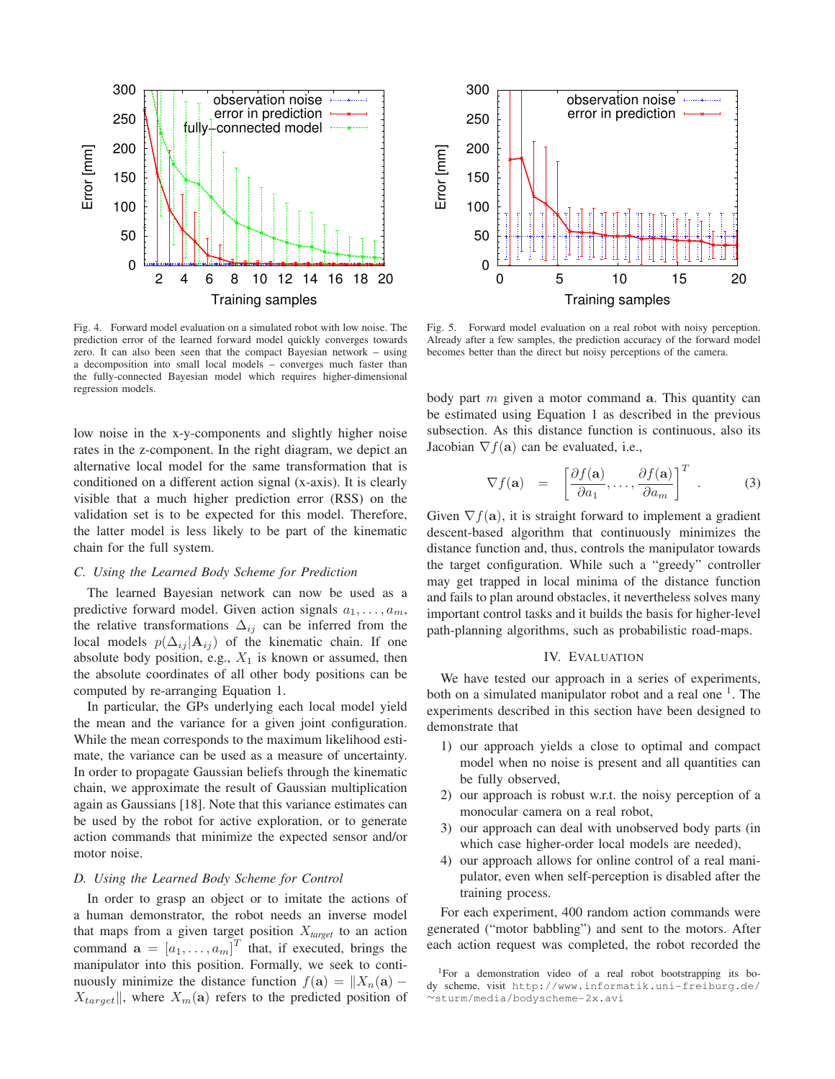

Fig. 4. Forward model evaluation on a simulated robot with low noise. The prediction error of the learned forward model quickly converges towards zero. It can also been seen that the compact Bayesian network – using a decomposition into small local models – converges much faster than the fully-connected Bayesian model which requires higher-dimensional regression models.

low noise in the x-y-components and slightly higher noise rates in the z-component. In the right diagram, we depict an alternative local model for the same transformation that is conditioned on a different action signal (x-axis). It is clearly visible that a much higher prediction error (RSS) on the validation set is to be expected for this model. Therefore, the latter model is less likely to be part of the kinematic chain for the full system.

# *C. Using the Learned Body Scheme for Prediction*

The learned Bayesian network can now be used as a predictive forward model. Given action signals  $a_1, \ldots, a_m$ , the relative transformations  $\Delta_{ij}$  can be inferred from the local models  $p(\Delta_{ij} | A_{ij})$  of the kinematic chain. If one absolute body position, e.g.,  $X_1$  is known or assumed, then the absolute coordinates of all other body positions can be computed by re-arranging Equation 1.

In particular, the GPs underlying each local model yield the mean and the variance for a given joint configuration. While the mean corresponds to the maximum likelihood estimate, the variance can be used as a measure of uncertainty. In order to propagate Gaussian beliefs through the kinematic chain, we approximate the result of Gaussian multiplication again as Gaussians [18]. Note that this variance estimates can be used by the robot for active exploration, or to generate action commands that minimize the expected sensor and/or motor noise.

# *D. Using the Learned Body Scheme for Control*

In order to grasp an object or to imitate the actions of a human demonstrator, the robot needs an inverse model that maps from a given target position X*target* to an action command  $\mathbf{a} = [a_1, \dots, a_m]^T$  that, if executed, brings the manipulator into this position. Formally, we seek to continuously minimize the distance function  $f(\mathbf{a}) = ||X_n(\mathbf{a}) X_{target}$ , where  $X_m$ (a) refers to the predicted position of



Fig. 5. Forward model evaluation on a real robot with noisy perception. Already after a few samples, the prediction accuracy of the forward model becomes better than the direct but noisy perceptions of the camera.

body part  $m$  given a motor command a. This quantity can be estimated using Equation 1 as described in the previous subsection. As this distance function is continuous, also its Jacobian  $\nabla f(\mathbf{a})$  can be evaluated, i.e.,

$$
\nabla f(\mathbf{a}) = \left[ \frac{\partial f(\mathbf{a})}{\partial a_1}, \dots, \frac{\partial f(\mathbf{a})}{\partial a_m} \right]^T.
$$
 (3)

Given  $\nabla f(\mathbf{a})$ , it is straight forward to implement a gradient descent-based algorithm that continuously minimizes the distance function and, thus, controls the manipulator towards the target configuration. While such a "greedy" controller may get trapped in local minima of the distance function and fails to plan around obstacles, it nevertheless solves many important control tasks and it builds the basis for higher-level path-planning algorithms, such as probabilistic road-maps.

#### IV. EVALUATION

We have tested our approach in a series of experiments, both on a simulated manipulator robot and a real one<sup>1</sup>. The experiments described in this section have been designed to demonstrate that

- 1) our approach yields a close to optimal and compact model when no noise is present and all quantities can be fully observed,
- 2) our approach is robust w.r.t. the noisy perception of a monocular camera on a real robot,
- 3) our approach can deal with unobserved body parts (in which case higher-order local models are needed),
- 4) our approach allows for online control of a real manipulator, even when self-perception is disabled after the training process.

For each experiment, 400 random action commands were generated ("motor babbling") and sent to the motors. After each action request was completed, the robot recorded the

<sup>1</sup>For a demonstration video of a real robot bootstrapping its body scheme, visit http://www.informatik.uni-freiburg.de/ <sup>∼</sup>sturm/media/bodyscheme-2x.avi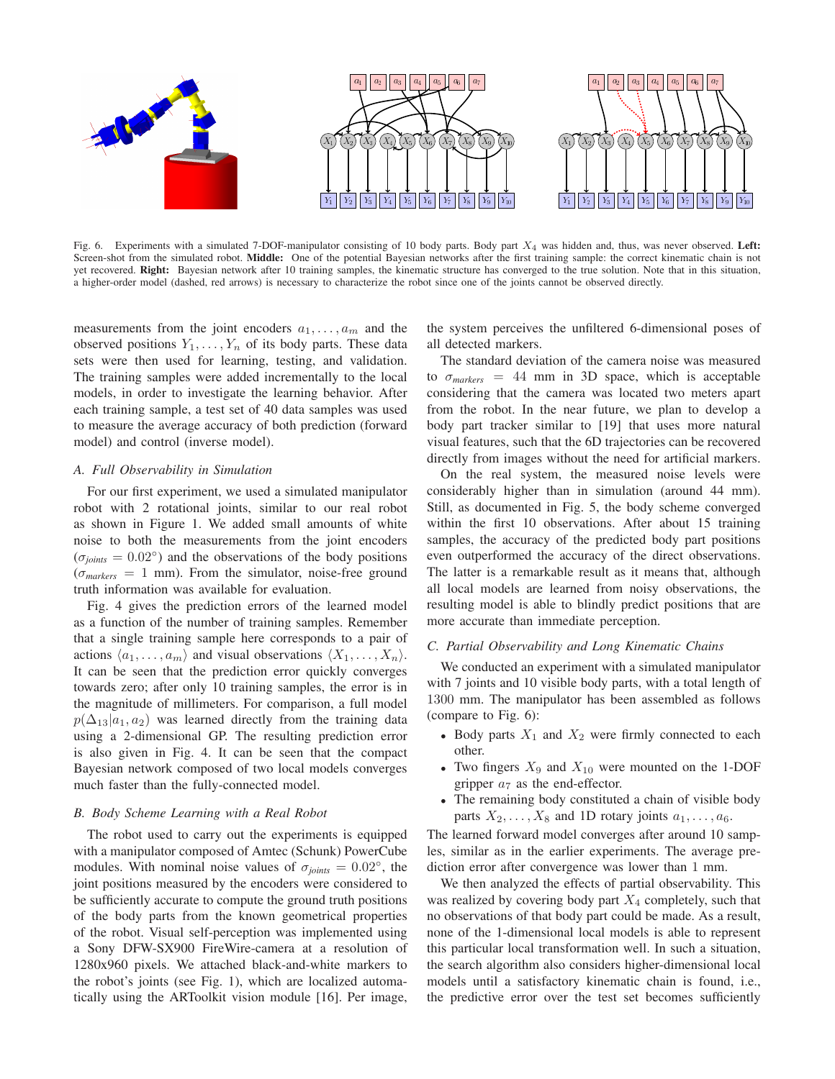

Fig. 6. Experiments with a simulated 7-DOF-manipulator consisting of 10 body parts. Body part X4 was hidden and, thus, was never observed. **Left:** Screen-shot from the simulated robot. **Middle:** One of the potential Bayesian networks after the first training sample: the correct kinematic chain is not yet recovered. **Right:** Bayesian network after 10 training samples, the kinematic structure has converged to the true solution. Note that in this situation, a higher-order model (dashed, red arrows) is necessary to characterize the robot since one of the joints cannot be observed directly.

measurements from the joint encoders  $a_1, \ldots, a_m$  and the observed positions  $Y_1, \ldots, Y_n$  of its body parts. These data sets were then used for learning, testing, and validation. The training samples were added incrementally to the local models, in order to investigate the learning behavior. After each training sample, a test set of 40 data samples was used to measure the average accuracy of both prediction (forward model) and control (inverse model).

# *A. Full Observability in Simulation*

For our first experiment, we used a simulated manipulator robot with 2 rotational joints, similar to our real robot as shown in Figure 1. We added small amounts of white noise to both the measurements from the joint encoders  $(\sigma_{\text{joints}} = 0.02^{\circ})$  and the observations of the body positions  $(\sigma_{\text{markers}} = 1 \text{ mm})$ . From the simulator, noise-free ground truth information was available for evaluation.

Fig. 4 gives the prediction errors of the learned model as a function of the number of training samples. Remember that a single training sample here corresponds to a pair of actions  $\langle a_1, \ldots, a_m \rangle$  and visual observations  $\langle X_1, \ldots, X_n \rangle$ . It can be seen that the prediction error quickly converges towards zero; after only 10 training samples, the error is in the magnitude of millimeters. For comparison, a full model  $p(\Delta_{13}|a_1, a_2)$  was learned directly from the training data using a 2-dimensional GP. The resulting prediction error is also given in Fig. 4. It can be seen that the compact Bayesian network composed of two local models converges much faster than the fully-connected model.

## *B. Body Scheme Learning with a Real Robot*

The robot used to carry out the experiments is equipped with a manipulator composed of Amtec (Schunk) PowerCube modules. With nominal noise values of  $\sigma_{joints} = 0.02^{\circ}$ , the joint positions measured by the encoders were considered to be sufficiently accurate to compute the ground truth positions of the body parts from the known geometrical properties of the robot. Visual self-perception was implemented using a Sony DFW-SX900 FireWire-camera at a resolution of 1280x960 pixels. We attached black-and-white markers to the robot's joints (see Fig. 1), which are localized automatically using the ARToolkit vision module [16]. Per image,

the system perceives the unfiltered 6-dimensional poses of all detected markers.

The standard deviation of the camera noise was measured to  $\sigma_{\text{markers}} = 44 \text{ mm}$  in 3D space, which is acceptable considering that the camera was located two meters apart from the robot. In the near future, we plan to develop a body part tracker similar to [19] that uses more natural visual features, such that the 6D trajectories can be recovered directly from images without the need for artificial markers.

On the real system, the measured noise levels were considerably higher than in simulation (around 44 mm). Still, as documented in Fig. 5, the body scheme converged within the first 10 observations. After about 15 training samples, the accuracy of the predicted body part positions even outperformed the accuracy of the direct observations. The latter is a remarkable result as it means that, although all local models are learned from noisy observations, the resulting model is able to blindly predict positions that are more accurate than immediate perception.

## *C. Partial Observability and Long Kinematic Chains*

We conducted an experiment with a simulated manipulator with 7 joints and 10 visible body parts, with a total length of 1300 mm. The manipulator has been assembled as follows (compare to Fig. 6):

- Body parts  $X_1$  and  $X_2$  were firmly connected to each other.
- Two fingers  $X_9$  and  $X_{10}$  were mounted on the 1-DOF gripper  $a_7$  as the end-effector.
- The remaining body constituted a chain of visible body parts  $X_2, \ldots, X_8$  and 1D rotary joints  $a_1, \ldots, a_6$ .

The learned forward model converges after around 10 samples, similar as in the earlier experiments. The average prediction error after convergence was lower than 1 mm.

We then analyzed the effects of partial observability. This was realized by covering body part  $X_4$  completely, such that no observations of that body part could be made. As a result, none of the 1-dimensional local models is able to represent this particular local transformation well. In such a situation, the search algorithm also considers higher-dimensional local models until a satisfactory kinematic chain is found, i.e., the predictive error over the test set becomes sufficiently